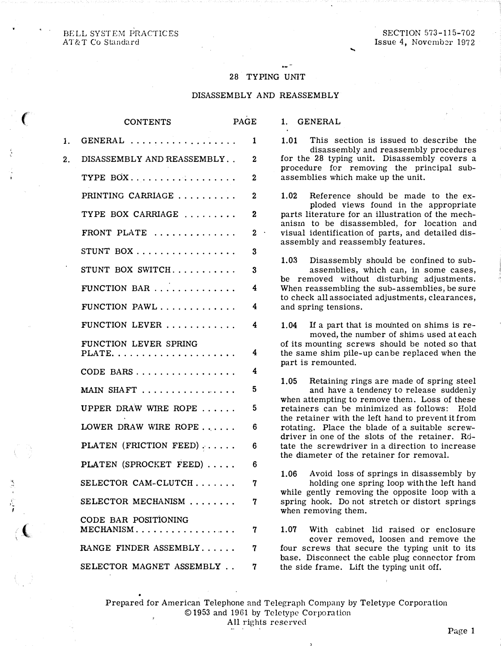BELL SYSTEM PRACTICES AT&T Co Standard

 $\epsilon$ 

"·

.<br>-<br>-I

 $\left($ 

## 28 TYPING UNIT

## DISASSEMBLY AND REASSEMBLY

1. GENERAL

|    | <b>CONTENTS</b>                   | PAGE             |
|----|-----------------------------------|------------------|
| 1. | GENERAL                           | 1                |
| 2. | DISASSEMBLY AND REASSEMBLY        | $\mathbf 2$      |
|    | TYPE BOX                          | $\mathbf{2}$     |
|    | PRINTING CARRIAGE                 | $\mathbf{2}$     |
|    | TYPE BOX CARRIAGE                 | 2                |
|    | FRONT PLATE                       | $\mathbf{2}$     |
|    | STUNT BOX                         | $\boldsymbol{3}$ |
|    | STUNT BOX SWITCH                  | $\boldsymbol{3}$ |
|    | FUNCTION BAR                      | 4                |
|    | FUNCTION PAWL                     | 4                |
|    | FUNCTION LEVER                    | 4                |
|    | FUNCTION LEVER SPRING             | 4                |
|    | CODE BARS                         | 4                |
|    | MAIN SHAFT                        | 5                |
|    | UPPER DRAW WIRE ROPE              | 5                |
|    | LOWER DRAW WIRE ROPE              | 6                |
|    | PLATEN (FRICTION FEED)            | 6                |
|    | PLATEN (SPROCKET FEED)            | 6                |
|    | SELECTOR CAM-CLUTCH               | 7                |
|    | SELECTOR MECHANISM                | 7                |
|    | CODE BAR POSITIONING<br>MECHANISM | 7                |
|    | RANGE FINDER ASSEMBLY             | 7                |
|    | SELECTOR MAGNET ASSEMBLY          | 7                |

1.01 This section is issued to describe the disassembly and reassembly procedures for the 28 typing unit. Disassembly covers a procedure for removing the principal sub-

....

assemblies which make up the unit.

1.02 Reference should be made to the exploded views found in the appropriate parts literature for an illustration of the mechanism to be disassembled, for location and visual identification of parts, and detailed disassembly and reassembly features.

1.03 Disassembly should be confined to subassemblies, which can, in some cases, be removed without disturbing adjustments. When reassembling the sub-assemblies, be sure to check all associated adjustments, clearances, and spring tensions.

1.04 If a part that is mounted on shims is removed, the number of shims used at each of its mounting screws should be noted so that the same shim pile-up can be replaced when the part is remounted.

1.05 Retaining rings are made of spring steel and have a tendency to release suddenly when attempting to remove them. Loss of these retainers can be minimized as follows: Hold the retainer with the left hand to prevent it from rotating. Place the blade of a suitable screwdriver in one of the slots of the retainer. Rotate the screwdriver in a direction to increase the diameter of the retainer for removal.

1.06 Avoid loss of springs in disassembly by holding one spring loop with the left hand while gently removing the opposite loop with a spring hook. Do not stretch or distort springs when removing them.

1.07 With cabinet lid raised or enclosure cover removed, loosen and remove the four screws that secure the typing unit to its base. Disconnect the cable plug connector from the side frame. Lift the typing unit off.

Prepared for American Telephone and Telegraph Company by Teletype Corporation © 1953 and 1961 by Teletype Corporation All rights reserved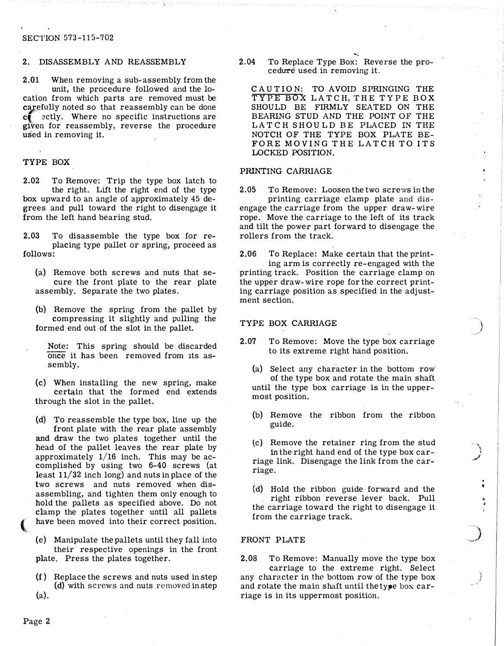#### SECTION 573-115-702

#### 2. DISASSEMBLY AND REASSEMBLY

2.01 When removing a sub-assembly from the unit, the procedure followed and the location from which parts are removed must be carefully noted so that reassembly can be done  $c$  ectly. Where no specific instructions are given for reassembly, reverse the procedure used in removing it.

## TYPE BOX

2.02 To Remove: Trip the type box latch to the right. Lift the right end of the type box upward to an angle of approximately 45 degrees and pull toward the right to disengage it from the left hand bearing stud.

2.03 To disassemble the type box for replacing type pallet or spring, proceed as follows:

(a) Remove both screws and nuts that secure the front plate to the rear plate assembly. Separate the two plates.

(b) Remove the spring from the pallet by compressing it slightly and pulling the formed end out of the slot in the pallet.

Note: This spring should be discarded once it has been removed from 1ts assembly.

(c) When installing the new spring, make certain that the formed end extends through the slot in the pallet.

(d) To reassemble the type box, line up the front plate with the rear plate assembly and draw the two plates together until the head of the pallet leaves the rear plate by approximately  $1/16$  inch. This may be accomplished by using two 6-40 screws (at least 11/32 inch long) and nuts in place of the two screws and nuts removed when disassembling, and tighten them only enough to hold the pallets as specified above. Do not clamp the plates together until all pallets have been moved into their correct position.

(e) Manipulate the pallets until they fall into their respective openings in the front plate. Press the plates together.

(f ) Replace the screws and nuts used in step (d) with screws and nuts removed in step (a).

 2.04 To Replace Type Box: Reverse the procedure used in removing it.

.....

C AUT ION: TO AVOID SPRINGING THE TYPE BOX LATCH, THE TYPE BOX SHOULD BE FIRMLY SEATED ON THE BEARING STUD AND THE POINT OF THE LATCH SHOULD BE PLACED IN THE NOTCH OF THE TYPE BOX PLATE BE-FORE MOVING THE LATCH TO ITS LOCKED POSITION.

## PRINTING CARRIAGE

2.05 To Remove: Loosen the two screws in the printing carriage clamp plate and dis-

engage the carriage from the upper draw-wire rope. Move the carriage to the left of its track and tilt the power part forward to disengage the rollers from the track.

2.06 To Replace: Make certain that the printing arm is correctly re-engaged with the printing track. Position the carriage clamp on the upper draw-wire rope for the correct printing carriage position as specified in the adjustment section.

#### T YPE BOX CARRIAGE

- 2.07 To Remove: Move the type box carriage to its extreme right hand position.
	- (a) Select any character in the bottom row of the type box and rotate the main shaft until the type box carriage is in the uppermost position.
	- (b) Remove the ribbon from the ribbon guide.
	- tc) Remove the retainer ring from the stud in the right hand end of the type box car-. riage link. Disengage the link from the carriage.

.. 1 تحمس

) .<br>.<br>مسيد .

• •

(d) Hold the ribbon guide forward and the right ribbon reverse lever back. Pull the carriage toward the right to disengage it from the carriage track.

## FRONT PLATE

2.08 To Remove: Manually move the type box carriage to the extreme right. Select any character in the bottom row of the type box and rotate the main shaft until the type box carriage is in its uppermost position.

(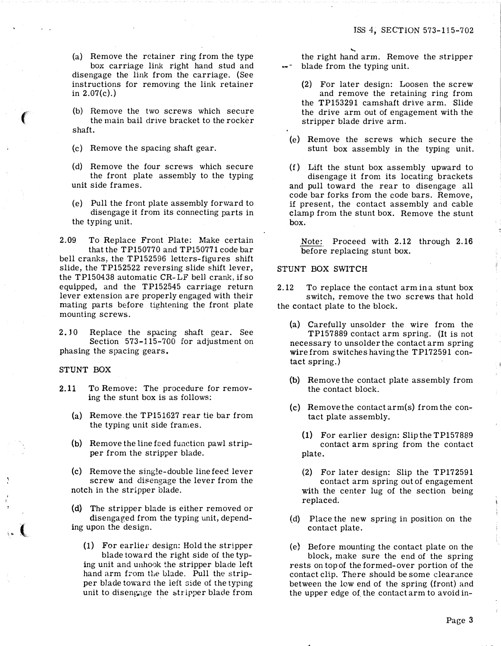(a) Remove the retainer ring from the type box carriage link right hand stud and disengage the link from the carriage. (See instructions for removing the link retainer in  $2.07(c)$ .)

(b) Remove the two screws which secure the main bail drive bracket to the rocker shaft.

(c) Remove the spacing shaft gear.

(d) Remove the four screws which secure the front plate assembly to the typing unit side frames.

(e) Pull the front plate assembly forward to disengage it from its connecting parts in the typing unit.

2.09 To Replace Front Plate: Make certain that the TP150770 and TP150771 code bar bell cranks, the TP152596 letters-figures shift slide, the TP152522 reversing slide shift lever, the TP150438 automatic CR-LF bell crank, if so equipped, and the TP152545 carriage return lever extension are properly engaged with their mating parts before tightening the front plate mounting screws.

2.10 Replace the spacing shaft gear. See Section 573-115-700 for adjustment on phasing the spacing gears.

## STUNT BOX

- 2.11 To Remove: The procedure for removing the stunt box is as follows:
	- (a) Remove.the TP151627 rear tie bar from the typing unit side frames.
	- (b) Remove the line feed function pawl stripper from the stripper blade.
	- (c) Remove the single-double line feed lever screw and disengage the lever from the notch in the stripper blade.

(d) The stripper blade is either removed or disengaged from the typing unit, depending upon the design.

 $(1)$  For earlier design: Hold the stripper blade toward the right side of the typing unit and unhook the stripper blade left hand arm from the blade. Pull the stripper blade toward the ieft side of the typing unit to disengage the stripper blade from

the right hand arm. Remove the stripper blade from the typing unit.

......

- (2) For later design: Loosen the screw and remove the retaining ring from the TP153291 camshaft drive arm. Slide the drive arm out of engagement with the stripper blade drive arm.
- (e) Remove the screws which secure the stunt box assembly in the typing unit.

 $(f)$  Lift the stunt box assembly upward to disengage it from its locating brackets and pull toward the rear to disengage all code bar forks from the code bars. Remove, if present, the contact assembly and cable clamp from the stunt box. Remove the stunt box.

Note: Proceed with 2.12 through 2.16 before replacing stunt box.

#### STUNT BOX SWITCH

2.12 To replace the contact arm in a stunt box switch, remove the two screws that hold the contact plate to the block.

- (a) Carefully unsolder the wire from the TP157889 contact arm spring. (It is not necessary to unsolder the contact arm spring wire from switches having the TP172591 contact spring.}
- (b) Remove the contact plate assembly from the- contact block.
- (c) Remove the contact arm(s) from the contact plate assembly.
	- (1) For earlier design: Slip the TP157889 contact arm spring from the contact plate.
	- (2) For later design: Slip the TP172591 contact arm spring out of engagement with the center lug of the section being replaced.
- (d) Place the new spring in position on the contact plate.
- (e) Before mounting the contact plate on the block, make sure the end of the spring rests on top of the formed-over portion of the contact clip. There should be some clearance between the low end of the spring (front) and the upper edge of the contact arm to avoid in-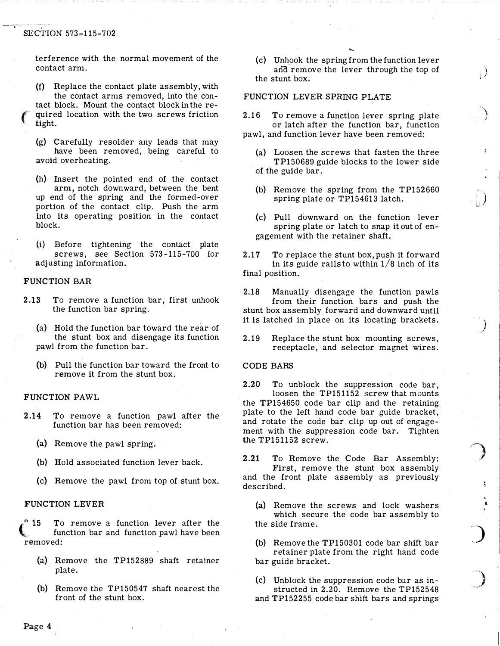## SECTION 573-115-702

.

terference with the normal movement of the contact arm.

- (f) Replace the contact plate assembly, with the contact arms removed, into the contact block. Mount the contact block in the re quired location with the two screws friction tight.
- (g) Carefully resolder any leads that may have been removed, being careful to avoid overheating.
- (h) Insert the pointed end of the contact arm, notch downward, between the bent up end of the spring and the formed-over portion of the contact clip. Push the arm into its operating position in the contact block.
- (i) Before tightening the contact plate screws, see Section 573-115-700 for adjusting information.

## FUNCTION BAR

- 2.13 To remove a function bar, first unhook the function bar spring.
	- (a) Hold the function bar toward the rear of the stunt box and disengage its function pawl from the function bar.
	- (b) Pull the function bar toward the front to remove it from the stunt box.

## FUNCTION PAWL

- 2.14 To remove a function pawl after the function bar has been removed:
	- (a) Remove the pawl spring.
	- (b) Hold associated function lever back.
	- (c) Remove the pawl from top of stunt box.

## FUNCTION LEVER

15 *<u>A</u>* To remove a function lever after the function bar and function pawl have been removed:

- (a) Remove the TP152889 shaft retajner plate.
- (b) Remove the TP150547 shaft nearest the front of the stunt box.

(c) Unhook the spring from the function lever and remove the lever through the top of the stunt box.

....

) ; /

)

` ,)

}

. t

)

., ,

#### FUNCTION LEVER SPRING PLATE

2.16 To remove a function lever spring plate or latch after the function bar, function pawl, and function lever have been removed:

- (a) Loosen the screws that fasten the three TP150689 guide blocks to the lower side of the guide bar.
- (b) Remove the spring from the TP152660 spring plate or TP154613 latch.
- (c) Pull downward on the function lever spring plate or latch to snap it out of engagement with the retainer shaft.
- 2.17 To replace the stunt box, push it forward in its guide rails to within  $1/8$  inch of its final position.

2.18 Manually disengage the function pawls from their function bars and push the stunt box assembly forward and downward until it is latched in place on its locating brackets.

2.19 Replace the stunt box mounting screws, receptacle, and selector magnet wires.

## CODE BARS

2.20 To unblock the suppression code bar, loosen the TP151152 screw that mounts the TP154650 code bar clip and the retaining plate to the left hand code bar guide bracket, and rotate the code bar clip up out of engagement with the suppression code bar. Tighten the TP151152 screw.

2.21 To Remove the Code Bar Assembly: First, remove the stunt box assembly and the front plate assembly as previously described.

(a) Remove the screws and lock washers which secure the code bar assembly to the side frame.

(b) Remove the TP150301 code bar shift bar retainer plate from the right hand code bar guide bracket.

(c) Unblock the suppression code bar as instructed in 2.20. Remove the TP152548 and TP152255 code bar shift bars and springs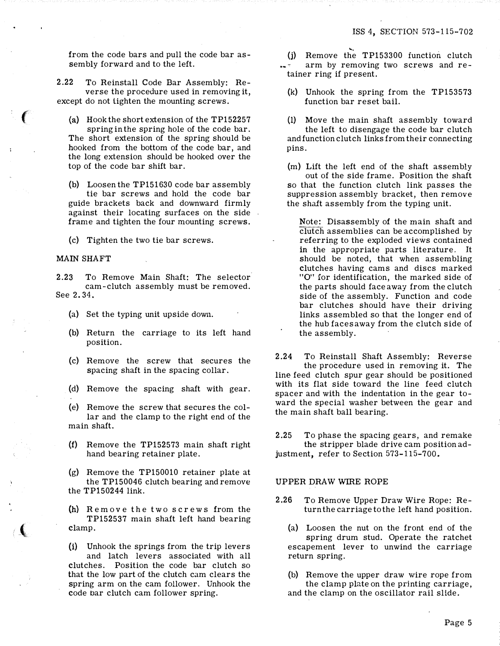from the code bars and pull the code bar assembly forward and to the left.

2.22 To Reinstall Code Bar Assembly: Reverse the procedure used in removing it, except do not tighten the mounting screws.

(a) Hook the short extension of the TP152257 spring in the spring hole of the code bar. The short extension of the spring should be hooked from the bottom of the code bar, and the long extension should be hooked over the top of the code bar shift bar.

(b) Loosen the TP151630 code bar assembly tie bar screws and hold the code bar guide brackets back and downward firmly against their locating surfaces on the side frame and tighten the four mounting screws.

(c) Tighten the two tie bar screws.

## MAIN SHAFT

: (

 $\left($ 

2.23 To Remove Main Shaft: The selector cam-clutch assembly must be removed. See 2.34.

- (a) Set the typing unit upside down.
- (b) Return the carriage to its left hand position.
- (c) Remove the screw that secures the spacing shaft in the spacing collar.
- (d) Remove the spacing shaft with gear.

(e) Remove the screw that secures the collar and the clamp to the right end of the main shaft.

- (f) Remove the TP152573 main shaft right hand bearing retainer plate.
- (g) Remove the TP150010 retainer plate at the TP150046 clutch bearing and remove the TP150244 link.

(h) Remove the two screws from the TP152537 main shaft left hand bearing clamp.

(i) Unhook the springs from the trip levers and latch levers associated with all clutches. Position the code bar clutch so that the low part of the clutch cam clears the spring arm on the cam follower. Unhook the code bar clutch cam follower spring.

- ).<br>(j) Remove the TP153300 function clutch) arm by removing two screws and retainer ring if present.
- (k) Unhook the spring from the TP153573 function bar reset bail.
- (1) Move the main shaft assembly toward the left to disengage the code bar clutch and function clutch links from their connecting pins.

(m) Lift the left end of the shaft assembly out of the side frame. Position the shaft so that the function clutch link passes the suppression assembly bracket, then remove the shaft assembly from the typing unit.

Note: Disassembly of the main shaft and clutch assemblies can be accomplished by referring to the exploded views contained in the appropriate parts literature. It should be noted, that when assembling clutches having cams and discs marked "0'' for identification, the marked side of the parts should face away from the clutch side of the assembly. Function and code bar clutches should have their driving links assembled so that the longer end of the hub faces away from the clutch side of the assembly.

2.24 To Reinstall Shaft Assembly: Reverse the procedure used in removing it. The line feed clutch spur gear should be positioned with its flat side toward the line feed clutch spacer and with the indentation in the gear toward the special washer between the gear and the main shaft ball bearing.

2.25 To phase the spacing gears, and remake the stripper blade drive cam position adjustment, refer to Section 573-115-700.

## UPPER DRAW WIRE ROPE

- 2.26 To Remove Upper Draw Wire Rope: Return the carriage to the left hand position.
	- (a) Loosen the nut on the front end of the spring drum stud. Operate the ratchet escapement lever to unwind the carriage return spring.

(b) Remove the upper draw wire rope from the clamp plate on the printing carriage, and the clamp on the oscillator rail slide.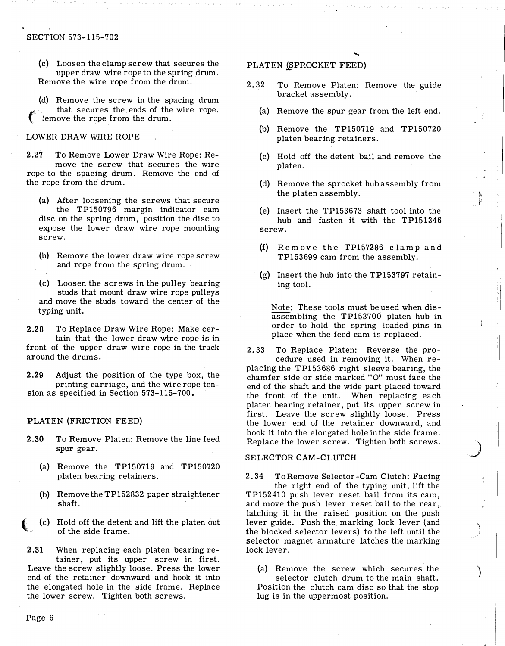## SECTION 573-115-702

- (c) Loosen the clamp screw that secures the upper draw wire rope to the spring drum. Remove the wire rope from the drum.
- (d) Remove the screw in the spacing drum<br>that secures the ends of the wire rope.  $\epsilon$  that secures the ends of the wire rope.<br>Lemove the rope from the drum.

## LOWER DRAW WIRE ROPE

2.27 To Remove Lower Draw Wire Rope: Remove the screw that secures the wire rope to the spacing drum. Remove the end of the rope from the drum.

- (a) After loosening the screws that secure the TP150796 margin indicator cam disc on the spring drum, position the disc to expose the lower draw wire rope mounting screw.
- (b) Remove the lower draw wire rope screw and rope from the spring drum.
- (c) Loosen the screws in the pulley bearing studs that mount draw wire rope pulleys and move the studs toward the center of the typing unit.

2.28 To Replace Draw Wire Rope: Make certain that the lower draw wire rope is in front of the upper draw wire rope in the track around the drums.

2.29 Adjust the position of the type box, the printing carriage, and the wire rope tension as specified in Section 573-115-700.

# PLATEN (FRICTION FEED)

- 2.30 To Remove Platen: Remove the line feed spur gear.
	- (a) Remove the TP150719 and TP150720 platen bearing retainers.
	- (b) Remove the TP152832 paper straightener shaft.
	- (c) Hold off the detent and lift the platen out of the side frame.

2.31 When replacing each platen bearing retainer, put its upper screw in first. Leave the screw slightly loose. Press the lower end of the retainer downward and hook it into the elongated hole in the side frame. Replace the lower screw. Tighten both screws.

## PLATEN (SPROCKET FEED)

- 2. 32 To Remove Platen: Remove the guide bracket assembly.
	- (a) Remove the spur gear from the left end.

....

- (b) Remove the TP150719 and TP150720 platen bearing retainers.
- (c) Hold off the detent bail and remove the platen.
- (d) Remove the sprocket hub assembly from the platen assembly.

�, l

.)

; }

)

- (e) Insert the TP153673 shaft tool into the hub and fasten it with the TP151346 screw.
- $(f)$  Remove the TP157286 clamp and TP153699 cam from the assembly.
- $\lq$  (g) Insert the hub into the TP153797 retaining tool.

Note: These tools must be used when disassembling the TP153700 platen hub in order to hold the spring loaded pins in place when the feed cam is replaced.

2. 33 To Replace Platen: Reverse the procedure used in removing it. When replacing the TP153686 right sleeve bearing, the chamfer side or side marked "0" must face the end of the shaft and the wide part placed toward the front of the unit. When replacing each platen bearing retainer, put its upper screw in first. Leave the screw slightly loose. Press the lower end of the retainer downward, and hook it into the elongated hole in the side frame. Replace the lower screw. Tighten both screws.

# SELECTOR CAM-CLUTCH

2. 34 To Remove Selector-Cam Clutch: Facing the right end of the typing unit, lift the TP152410 push lever reset bail from its cam, and move the push lever reset bail to the rear, latching it in the raised position on the push lever guide. Push the marking lock lever (and the blocked selector levers) to the left until the selector magnet armature latches the marking lock lever.

(a) Remove the screw which secures the selector clutch drum to the main shaft. Position the clutch cam disc so that the stop lug is in the uppermost position.

(